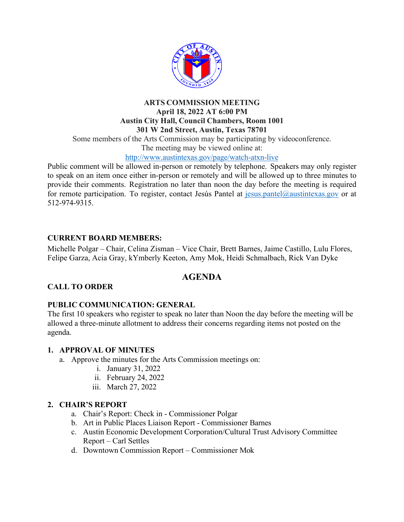

# **ARTS COMMISSION MEETING April 18, 2022 AT 6:00 PM Austin City Hall, Council Chambers, Room 1001 301 W 2nd Street, Austin, Texas 78701**

Some members of the Arts Commission may be participating by videoconference.

The meeting may be viewed online at:

#### http://www.austintexas.gov/page/watch-atxn-live

Public comment will be allowed in-person or remotely by telephone. Speakers may only register to speak on an item once either in-person or remotely and will be allowed up to three minutes to provide their comments. Registration no later than noon the day before the meeting is required for remote participation. To register, contact Jesús Pantel at jesus.pantel@austintexas.gov or at 512-974-9315.

### **CURRENT BOARD MEMBERS:**

Michelle Polgar – Chair, Celina Zisman – Vice Chair, Brett Barnes, Jaime Castillo, Lulu Flores, Felipe Garza, Acia Gray, kYmberly Keeton, Amy Mok, Heidi Schmalbach, Rick Van Dyke

## **AGENDA**

### **CALL TO ORDER**

### **PUBLIC COMMUNICATION: GENERAL**

The first 10 speakers who register to speak no later than Noon the day before the meeting will be allowed a three-minute allotment to address their concerns regarding items not posted on the agenda.

### **1. APPROVAL OF MINUTES**

- a. Approve the minutes for the Arts Commission meetings on:
	- i. January 31, 2022
	- ii. February 24, 2022
	- iii. March 27, 2022

### **2. CHAIR'S REPORT**

- a. Chair's Report: Check in Commissioner Polgar
- b. Art in Public Places Liaison Report Commissioner Barnes
- c. Austin Economic Development Corporation/Cultural Trust Advisory Committee Report – Carl Settles
- d. Downtown Commission Report Commissioner Mok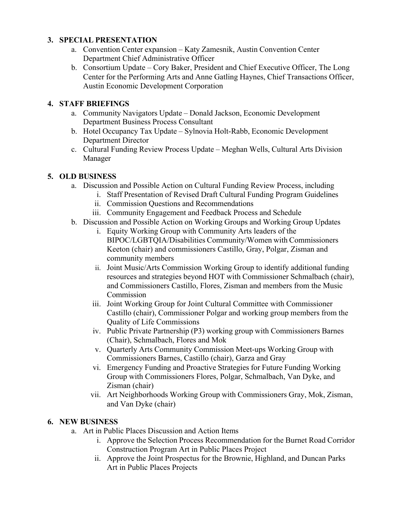### **3. SPECIAL PRESENTATION**

- a. Convention Center expansion Katy Zamesnik, Austin Convention Center Department Chief Administrative Officer
- b. Consortium Update Cory Baker, President and Chief Executive Officer, The Long Center for the Performing Arts and Anne Gatling Haynes, Chief Transactions Officer, Austin Economic Development Corporation

### **4. STAFF BRIEFINGS**

- a. Community Navigators Update Donald Jackson, Economic Development Department Business Process Consultant
- b. Hotel Occupancy Tax Update Sylnovia Holt-Rabb, Economic Development Department Director
- c. Cultural Funding Review Process Update Meghan Wells, Cultural Arts Division Manager

### **5. OLD BUSINESS**

- a. Discussion and Possible Action on Cultural Funding Review Process, including
	- i. Staff Presentation of Revised Draft Cultural Funding Program Guidelines
	- ii. Commission Questions and Recommendations
	- iii. Community Engagement and Feedback Process and Schedule
- b. Discussion and Possible Action on Working Groups and Working Group Updates
	- i. Equity Working Group with Community Arts leaders of the BIPOC/LGBTQIA/Disabilities Community/Women with Commissioners Keeton (chair) and commissioners Castillo, Gray, Polgar, Zisman and community members
	- ii. Joint Music/Arts Commission Working Group to identify additional funding resources and strategies beyond HOT with Commissioner Schmalbach (chair), and Commissioners Castillo, Flores, Zisman and members from the Music Commission
	- iii. Joint Working Group for Joint Cultural Committee with Commissioner Castillo (chair), Commissioner Polgar and working group members from the Quality of Life Commissions
	- iv. Public Private Partnership (P3) working group with Commissioners Barnes (Chair), Schmalbach, Flores and Mok
	- v. Quarterly Arts Community Commission Meet-ups Working Group with Commissioners Barnes, Castillo (chair), Garza and Gray
	- vi. Emergency Funding and Proactive Strategies for Future Funding Working Group with Commissioners Flores, Polgar, Schmalbach, Van Dyke, and Zisman (chair)
	- vii. Art Neighborhoods Working Group with Commissioners Gray, Mok, Zisman, and Van Dyke (chair)

### **6. NEW BUSINESS**

- a. Art in Public Places Discussion and Action Items
	- i. Approve the Selection Process Recommendation for the Burnet Road Corridor Construction Program Art in Public Places Project
	- ii. Approve the Joint Prospectus for the Brownie, Highland, and Duncan Parks Art in Public Places Projects